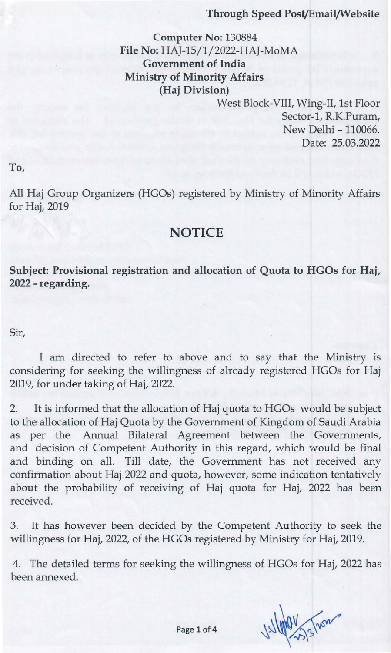#### Through Speed Post/Email/Website

Computer No: 130884 File No: HAJ-15/1/2022-HAJ-MoMA Government of India Ministry of Minority Affairs (Haj Division)

> West Block-VIII, Wing-II, 1st Floor Sector-1, R.K.Puram, New Delhi - 110066. Date: 25.03.2022

To,

All Haj Group Organizers (HGOs) registered by Ministry of Minority Affairs for Haj, 2019

# **NOTICE**

Subject: Provisional registration and allocation of Quota to HGOs for Haj, 2022 - regarding.

Sir,

I am directed to refer to above and to say that the Ministry is considering for seeking the willingness of already registered HGOs for Haj 2019, for under taking of Haj, 2022.

2. It is informed that the allocation of Haj quota to HGOs would be subject to the allocation of Haj Quota by the Government of Kingdom of Saudi Arabia as per the Annual Bilateral Agreement between the Governments, and decision of Competent Authority in this regard, which would be final and binding on all. Till date, the Government has not received any confirmation about Haj 2022 and quota, however, some indication tentatively about the probability of receiving of Haj quota for Haj, 2022 has been received.

3. It has however been decided by the Competent Authority to seek the willingness for Haj, 2022, of the HGOs registered by Ministry for Haj, 2019.

4. The detailed terms for seeking the willingness of HGOs for Haj, 2022 has been annexed.

Villale Malley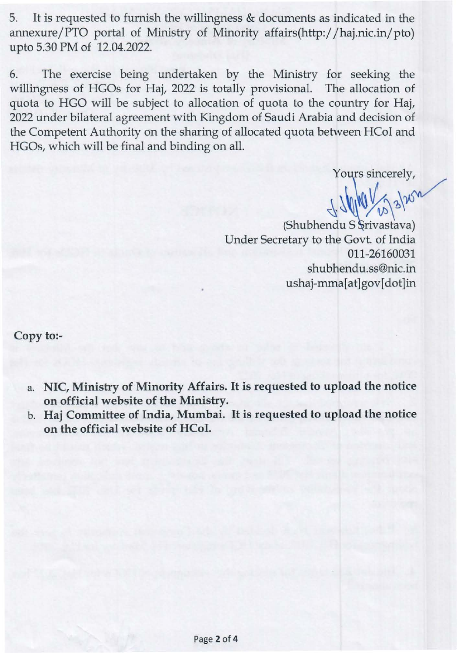5. It is requested to furnish the willingness & documents as indicated in the annexure/PTO portal of Ministry of Minority affairs(http:/ / haj.nic.in/pto) upto 5.30 PM of 12.04.2022.

6. The exercise being undertaken by the Ministry for seeking the willingness of HGOs for Haj, 2022 is totally provisional. The allocation of quota to HGO will be subject to allocation of quota to the country for Haj, 2022 under bilateral agreement with Kingdom of Saudi Arabia and decision of the Competent Authority on the sharing of allocated quota between HCoI and HGOs, which will be final and binding on all.

Yours sincerely,

 $\sqrt{1.2}$  (Shubhendu S Srivastava)

Under Secretary to the Govt. of India 011-26160031 shubhendu.ss@nic.in ushaj-mma[at]gov[dot]in

**Copy to:-**

- a. **NIC, Ministry of Minority Affairs.** It is **requested to upload the notice on official website of the Ministry.**
- b. **Haj Committee of India, Mumbai.** It is **requested to upload the notice on the official website of HCol.**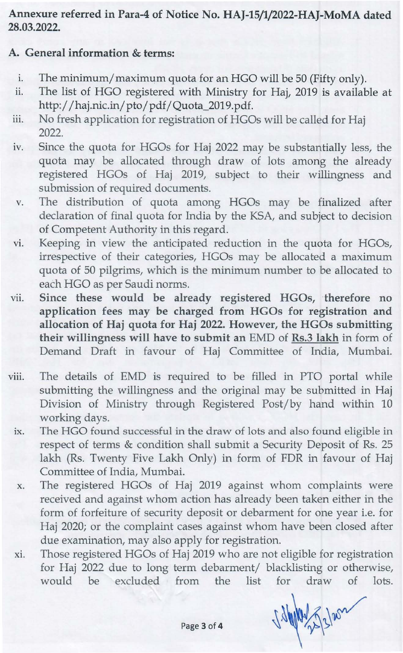### Annexure referred in Para-4 of Notice No. HAJ-15/1/2022-HAJ-MoMA dated 28.03.2022.

## A. General information & terms:

- i. The minimum/maximum quota for an HGO will be 50 (Fifty only).
- ii. The list of HGO registered with Ministry for Haj, 2019 is available at http:/ /haj.nic.in/pto/pdf/Quota\_2019.pdf.
- iii. No fresh application for registration of HGOs will be called for Haj 2022.
- iv. Since the quota for HGOs for Haj 2022 may be substantially less, the quota may be allocated through draw of lots among the already registered HGOs of Haj 2019, subject to their willingness and submission of required documents.
- v. The distribution of quota among HGOs may be finalized after declaration of final quota for India by the KSA, and subject to decision of Competent Authority in this regard.
- vi. Keeping in view the anticipated reduction in the quota for HGOs, irrespective of their categories, HGOs may be allocated a maximum quota of 50 pilgrims, which is the minimum number to be allocated to each HGO as per Saudi norms.
- vii. Since these would be already registered HGOs, therefore no application fees may be charged from HGOs for registration and allocation of Haj quota for Haj 2022. However, the HGOs submitting their willingness will have to submit an EMD of Rs.3 lakh in form of Demand Draft in favour of Haj Committee of India, Mumbai.
- viii. The details of EMD is required to be filled in PTO portal while submitting the willingness and the original may be submitted in Haj Division of Ministry through Registered Post/by hand within 10 working days.
	- ix. The HGO found successful in the draw of lots and also found eligible in respect of terms & condition shall submit a Security Deposit of Rs. 25 lakh (Rs. Twenty Five Lakh Only) in form of FDR in favour of Haj Committee of India, Mumbai.
	- x. The registered HGOs of Haj 2019 against whom complaints were received and against whom action has already been taken either in the form of forfeiture of security deposit or debarment for one year i.e. for Haj 2020; or the complaint cases against whom have been closed after due examination, may also apply for registration.
	- xi. Those registered HGOs of Haj 2019 who are not eligible for registration for Haj 2022 due to long term debarment/ blacklisting or otherwise, would be excluded from the list for draw of lots.

1 9/1/10 2 3/202